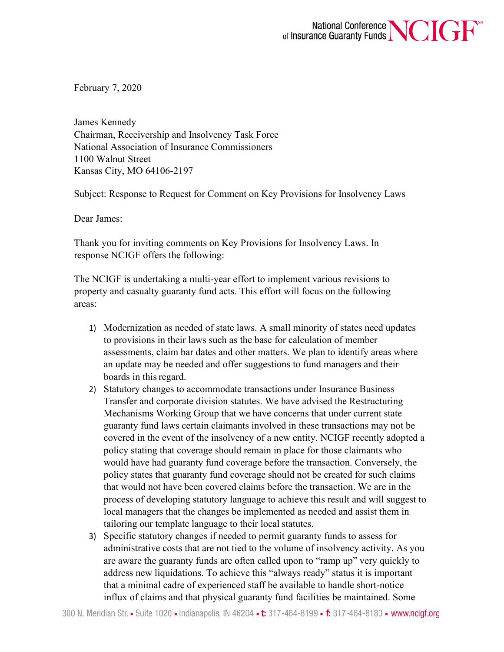

February 7, 2020

James Kennedy Chairman, Receivership and Insolvency Task Force National Association of Insurance Commissioners 1100 Walnut Street Kansas City, MO 64106-2197

Subject: Response to Request for Comment on Key Provisions for Insolvency Laws

Dear James:

Thank you for inviting comments on Key Provisions for Insolvency Laws. In response NCIGF offers the following:

The NCIGF is undertaking a multi-year effort to implement various revisions to property and casualty guaranty fund acts. This effort will focus on the following areas:

- 1) Modernization as needed of state laws. A small minority of states need updates to provisions in their laws such as the base for calculation of member assessments, claim bar dates and other matters. We plan to identify areas where an update may be needed and offer suggestions to fund managers and their boards in thisregard.
- 2) Statutory changes to accommodate transactions under Insurance Business Transfer and corporate division statutes. We have advised the Restructuring Mechanisms Working Group that we have concerns that under current state guaranty fund laws certain claimants involved in these transactions may not be covered in the event of the insolvency of a new entity. NCIGF recently adopted a policy stating that coverage should remain in place for those claimants who would have had guaranty fund coverage before the transaction. Conversely, the policy states that guaranty fund coverage should not be created for such claims that would not have been covered claims before the transaction. We are in the process of developing statutory language to achieve this result and will suggest to local managers that the changes be implemented as needed and assist them in tailoring our template language to their local statutes.
- 3) Specific statutory changes if needed to permit guaranty funds to assess for administrative costs that are not tied to the volume of insolvency activity. As you are aware the guaranty funds are often called upon to "ramp up" very quickly to address new liquidations. To achieve this "always ready" status it is important that a minimal cadre of experienced staff be available to handle short-notice influx of claims and that physical guaranty fund facilities be maintained. Some